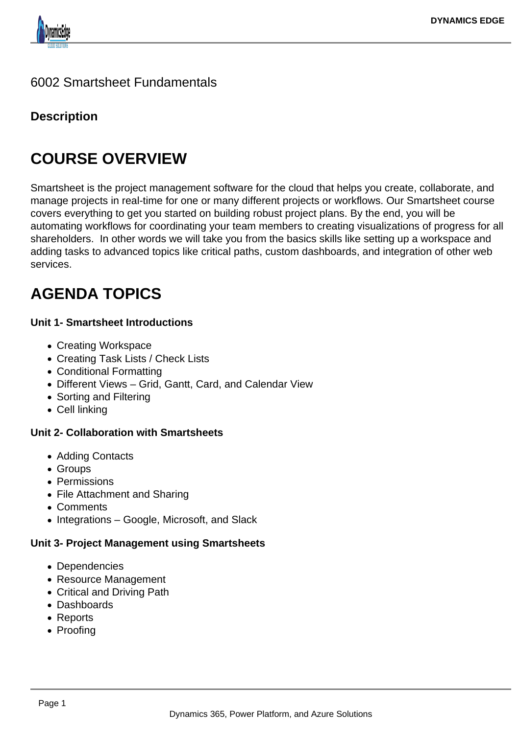

### 6002 Smartsheet Fundamentals

## **Description**

# **COURSE OVERVIEW**

Smartsheet is the project management software for the cloud that helps you create, collaborate, and manage projects in real-time for one or many different projects or workflows. Our Smartsheet course covers everything to get you started on building robust project plans. By the end, you will be automating workflows for coordinating your team members to creating visualizations of progress for all shareholders. In other words we will take you from the basics skills like setting up a workspace and adding tasks to advanced topics like critical paths, custom dashboards, and integration of other web services.

# **AGENDA TOPICS**

#### **Unit 1- Smartsheet Introductions**

- Creating Workspace
- Creating Task Lists / Check Lists
- Conditional Formatting
- Different Views Grid, Gantt, Card, and Calendar View
- Sorting and Filtering
- Cell linking

#### **Unit 2- Collaboration with Smartsheets**

- Adding Contacts
- Groups
- Permissions
- File Attachment and Sharing
- Comments
- Integrations Google, Microsoft, and Slack

#### **Unit 3- Project Management using Smartsheets**

- Dependencies
- Resource Management
- Critical and Driving Path
- Dashboards
- Reports
- Proofing